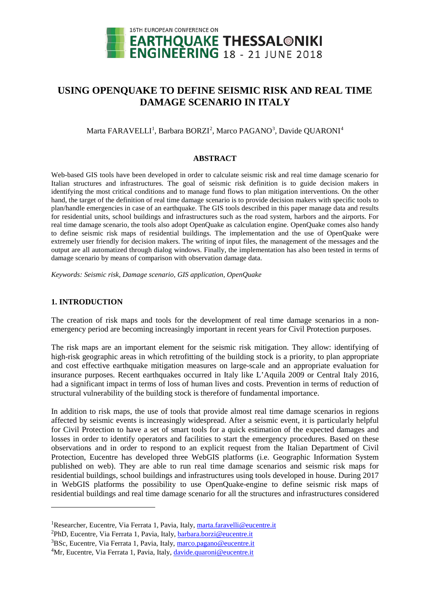

# **USING OPENQUAKE TO DEFINE SEISMIC RISK AND REAL TIME DAMAGE SCENARIO IN ITALY**

# Marta FARAVELLI<sup>1</sup>, Barbara BORZI<sup>[2](#page-0-1)</sup>, Marco PAGANO<sup>[3](#page-0-2)</sup>, Davide QUARONI<sup>[4](#page-0-3)</sup>

#### **ABSTRACT**

Web-based GIS tools have been developed in order to calculate seismic risk and real time damage scenario for Italian structures and infrastructures. The goal of seismic risk definition is to guide decision makers in identifying the most critical conditions and to manage fund flows to plan mitigation interventions. On the other hand, the target of the definition of real time damage scenario is to provide decision makers with specific tools to plan/handle emergencies in case of an earthquake. The GIS tools described in this paper manage data and results for residential units, school buildings and infrastructures such as the road system, harbors and the airports. For real time damage scenario, the tools also adopt OpenQuake as calculation engine. OpenQuake comes also handy to define seismic risk maps of residential buildings. The implementation and the use of OpenQuake were extremely user friendly for decision makers. The writing of input files, the management of the messages and the output are all automatized through dialog windows. Finally, the implementation has also been tested in terms of damage scenario by means of comparison with observation damage data.

*Keywords: Seismic risk, Damage scenario, GIS application, OpenQuake*

## **1. INTRODUCTION**

<u>.</u>

The creation of risk maps and tools for the development of real time damage scenarios in a nonemergency period are becoming increasingly important in recent years for Civil Protection purposes.

The risk maps are an important element for the seismic risk mitigation. They allow: identifying of high-risk geographic areas in which retrofitting of the building stock is a priority, to plan appropriate and cost effective earthquake mitigation measures on large-scale and an appropriate evaluation for insurance purposes. Recent earthquakes occurred in Italy like L'Aquila 2009 or Central Italy 2016, had a significant impact in terms of loss of human lives and costs. Prevention in terms of reduction of structural vulnerability of the building stock is therefore of fundamental importance.

In addition to risk maps, the use of tools that provide almost real time damage scenarios in regions affected by seismic events is increasingly widespread. After a seismic event, it is particularly helpful for Civil Protection to have a set of smart tools for a quick estimation of the expected damages and losses in order to identify operators and facilities to start the emergency procedures. Based on these observations and in order to respond to an explicit request from the Italian Department of Civil Protection, Eucentre has developed three WebGIS platforms (i.e. Geographic Information System published on web). They are able to run real time damage scenarios and seismic risk maps for residential buildings, school buildings and infrastructures using tools developed in house. During 2017 in WebGIS platforms the possibility to use OpenQuake-engine to define seismic risk maps of residential buildings and real time damage scenario for all the structures and infrastructures considered

<span id="page-0-0"></span><sup>&</sup>lt;sup>1</sup>Researcher, Eucentre, Via Ferrata 1, Pavia, Italy[, marta.faravelli@eucentre.it](mailto:marta.faravelli@eucentre.it)

<span id="page-0-1"></span><sup>&</sup>lt;sup>2</sup>PhD, Eucentre, Via Ferrata 1, Pavia, Italy, **barbara.borzi@eucentre.it** 

<span id="page-0-2"></span><sup>&</sup>lt;sup>3</sup>BSc, Eucentre, Via Ferrata 1, Pavia, Italy, marco.pagano@eucentre.it

<span id="page-0-3"></span><sup>&</sup>lt;sup>4</sup>Mr, Eucentre, Via Ferrata 1, Pavia, Italy, [davide.quaroni@eucentre.it](mailto:davide.quaroni@eucentre.it)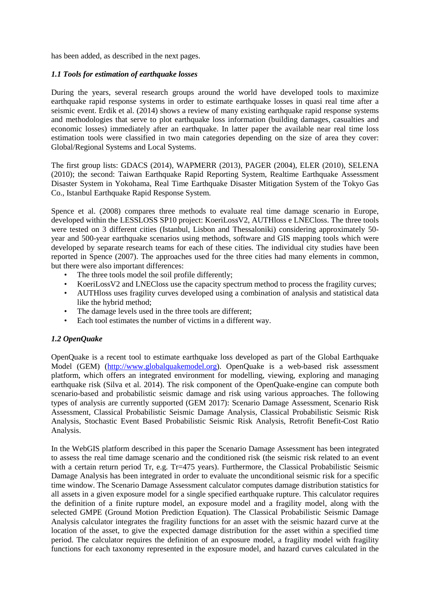has been added, as described in the next pages.

# *1.1 Tools for estimation of earthquake losses*

During the years, several research groups around the world have developed tools to maximize earthquake rapid response systems in order to estimate earthquake losses in quasi real time after a seismic event. Erdik et al. (2014) shows a review of many existing earthquake rapid response systems and methodologies that serve to plot earthquake loss information (building damages, casualties and economic losses) immediately after an earthquake. In latter paper the available near real time loss estimation tools were classified in two main categories depending on the size of area they cover: Global/Regional Systems and Local Systems.

The first group lists: GDACS (2014), WAPMERR (2013), PAGER (2004), ELER (2010), SELENA (2010); the second: Taiwan Earthquake Rapid Reporting System, Realtime Earthquake Assessment Disaster System in Yokohama, Real Time Earthquake Disaster Mitigation System of the Tokyo Gas Co., Istanbul Earthquake Rapid Response System.

Spence et al. (2008) compares three methods to evaluate real time damage scenario in Europe, developed within the LESSLOSS SP10 project: KoeriLossV2, AUTHloss e LNECloss. The three tools were tested on 3 different cities (Istanbul, Lisbon and Thessaloniki) considering approximately 50 year and 500-year earthquake scenarios using methods, software and GIS mapping tools which were developed by separate research teams for each of these cities. The individual city studies have been reported in Spence (2007). The approaches used for the three cities had many elements in common, but there were also important differences:

- The three tools model the soil profile differently;
- KoeriLossV2 and LNECloss use the capacity spectrum method to process the fragility curves;
- AUTHloss uses fragility curves developed using a combination of analysis and statistical data like the hybrid method;
- The damage levels used in the three tools are different;
- Each tool estimates the number of victims in a different way.

# *1.2 OpenQuake*

OpenQuake is a recent tool to estimate earthquake loss developed as part of the Global Earthquake Model (GEM) [\(http://www.globalquakemodel.org\)](http://www.globalquakemodel.org/). OpenQuake is a web-based risk assessment platform, which offers an integrated environment for modelling, viewing, exploring and managing earthquake risk (Silva et al. 2014). The risk component of the OpenQuake-engine can compute both scenario-based and probabilistic seismic damage and risk using various approaches. The following types of analysis are currently supported (GEM 2017): Scenario Damage Assessment, Scenario Risk Assessment, Classical Probabilistic Seismic Damage Analysis, Classical Probabilistic Seismic Risk Analysis, Stochastic Event Based Probabilistic Seismic Risk Analysis, Retrofit Benefit-Cost Ratio Analysis.

In the WebGIS platform described in this paper the Scenario Damage Assessment has been integrated to assess the real time damage scenario and the conditioned risk (the seismic risk related to an event with a certain return period Tr, e.g. Tr=475 years). Furthermore, the Classical Probabilistic Seismic Damage Analysis has been integrated in order to evaluate the unconditional seismic risk for a specific time window. The Scenario Damage Assessment calculator computes damage distribution statistics for all assets in a given exposure model for a single specified earthquake rupture. This calculator requires the definition of a finite rupture model, an exposure model and a fragility model, along with the selected GMPE (Ground Motion Prediction Equation). The Classical Probabilistic Seismic Damage Analysis calculator integrates the fragility functions for an asset with the seismic hazard curve at the location of the asset, to give the expected damage distribution for the asset within a specified time period. The calculator requires the definition of an exposure model, a fragility model with fragility functions for each taxonomy represented in the exposure model, and hazard curves calculated in the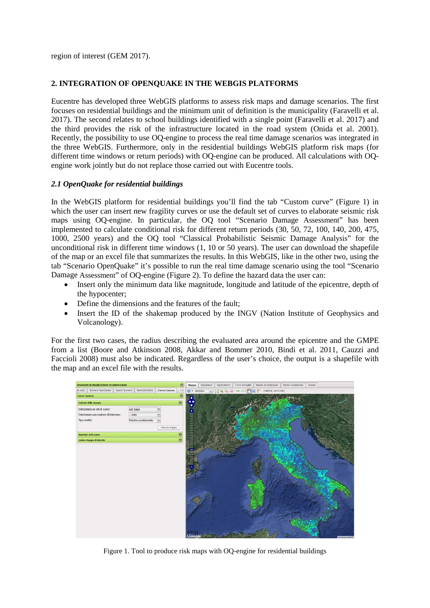region of interest (GEM 2017).

# **2. INTEGRATION OF OPENQUAKE IN THE WEBGIS PLATFORMS**

Eucentre has developed three WebGIS platforms to assess risk maps and damage scenarios. The first focuses on residential buildings and the minimum unit of definition is the municipality (Faravelli et al. 2017). The second relates to school buildings identified with a single point (Faravelli et al. 2017) and the third provides the risk of the infrastructure located in the road system (Onida et al. 2001). Recently, the possibility to use OQ-engine to process the real time damage scenarios was integrated in the three WebGIS. Furthermore, only in the residential buildings WebGIS platform risk maps (for different time windows or return periods) with OQ-engine can be produced. All calculations with OQengine work jointly but do not replace those carried out with Eucentre tools.

# *2.1 OpenQuake for residential buildings*

In the WebGIS platform for residential buildings you'll find the tab "Custom curve" (Figure 1) in which the user can insert new fragility curves or use the default set of curves to elaborate seismic risk maps using OQ-engine. In particular, the OQ tool "Scenario Damage Assessment" has been implemented to calculate conditional risk for different return periods (30, 50, 72, 100, 140, 200, 475, 1000, 2500 years) and the OQ tool "Classical Probabilistic Seismic Damage Analysis" for the unconditional risk in different time windows (1, 10 or 50 years). The user can download the shapefile of the map or an excel file that summarizes the results. In this WebGIS, like in the other two, using the tab "Scenario OpenQuake" it's possible to run the real time damage scenario using the tool "Scenario Damage Assessment" of OQ-engine (Figure 2). To define the hazard data the user can:

- Insert only the minimum data like magnitude, longitude and latitude of the epicentre, depth of the hypocenter;
- Define the dimensions and the features of the fault;
- Insert the ID of the shakemap produced by the INGV (Nation Institute of Geophysics and Volcanology).

For the first two cases, the radius describing the evaluated area around the epicentre and the GMPE from a list (Boore and Atkinson 2008, Akkar and Bommer 2010, Bindi et al. 2011, Cauzzi and Faccioli 2008) must also be indicated. Regardless of the user's choice, the output is a shapefile with the map and an excel file with the results.



Figure 1. Tool to produce risk maps with OQ-engine for residential buildings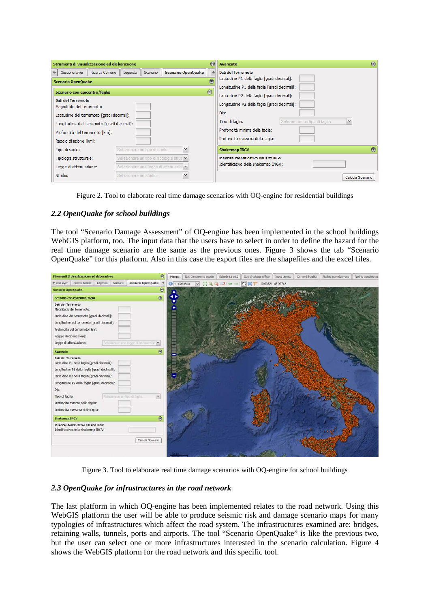| Strumenti di visualizzazione ed elaborazione                                                                                                                                                                                                                                  | $\left(\mathbf{K}\right)$                    | $\circ$<br><b>Avanzate</b>                                                                                                                                                                                                                                                                       |  |  |  |  |  |  |  |  |
|-------------------------------------------------------------------------------------------------------------------------------------------------------------------------------------------------------------------------------------------------------------------------------|----------------------------------------------|--------------------------------------------------------------------------------------------------------------------------------------------------------------------------------------------------------------------------------------------------------------------------------------------------|--|--|--|--|--|--|--|--|
| Ricerca Comune<br>Scenario<br>$\leftarrow$<br>Gestione laver<br>Legenda<br>Scenario OpenQuake<br>Scenario con epicentro/faglia<br>Dati del Terremoto<br>Magnitudo del terremoto:<br>Latitudine del terremoto [gradi decimali]:<br>Longitudine del terremoto [gradi decimali]: | <b>Scenario OpenQuake</b><br>雨<br>$^{\circ}$ | Dati del Terremoto<br>Latitudine P1 della faglia [gradi decimali]:<br>Longitudine P1 della faglia [gradi decimali]:<br>Latitudine P2 della faglia [gradi decimali]:<br>Longitudine P2 della faglia [gradi decimali]:<br>Dip:<br>$\checkmark$<br>Selezionare un tipo di faglia<br>Tipo di faglia: |  |  |  |  |  |  |  |  |
| Profondità del terremoto [km]:<br>Raggio di azione [km]:                                                                                                                                                                                                                      |                                              | Profondità minima della faglia:<br>Profondità massima della faglia:                                                                                                                                                                                                                              |  |  |  |  |  |  |  |  |
| Selezionare un tipo di suolo<br>Tipo di suolo:                                                                                                                                                                                                                                | v                                            | $\circledR$<br><b>Shakemap INGV</b>                                                                                                                                                                                                                                                              |  |  |  |  |  |  |  |  |
| Selezionare un tipo di tipologia strut   ▼<br>Tipologia strutturale:                                                                                                                                                                                                          |                                              | Inserire identificativo dal sito INGV                                                                                                                                                                                                                                                            |  |  |  |  |  |  |  |  |
| Selezionare una legge di attenuazio V<br>Legge di attenuazione:                                                                                                                                                                                                               |                                              | Identificativo della shakemap INGV:                                                                                                                                                                                                                                                              |  |  |  |  |  |  |  |  |
| Studio:<br>Selezionare un studio                                                                                                                                                                                                                                              | $\checkmark$                                 | Calcola Scenario                                                                                                                                                                                                                                                                                 |  |  |  |  |  |  |  |  |

Figure 2. Tool to elaborate real time damage scenarios with OQ-engine for residential buildings

# *2.2 OpenQuake for school buildings*

The tool "Scenario Damage Assessment" of OQ-engine has been implemented in the school buildings WebGIS platform, too. The input data that the users have to select in order to define the hazard for the real time damage scenario are the same as the previous ones. Figure 3 shows the tab "Scenario OpenQuake" for this platform. Also in this case the export files are the shapefiles and the excel files.



Figure 3. Tool to elaborate real time damage scenarios with OQ-engine for school buildings

## *2.3 OpenQuake for infrastructures in the road network*

The last platform in which OQ-engine has been implemented relates to the road network. Using this WebGIS platform the user will be able to produce seismic risk and damage scenario maps for many typologies of infrastructures which affect the road system. The infrastructures examined are: bridges, retaining walls, tunnels, ports and airports. The tool "Scenario OpenQuake" is like the previous two, but the user can select one or more infrastructures interested in the scenario calculation. Figure 4 shows the WebGIS platform for the road network and this specific tool.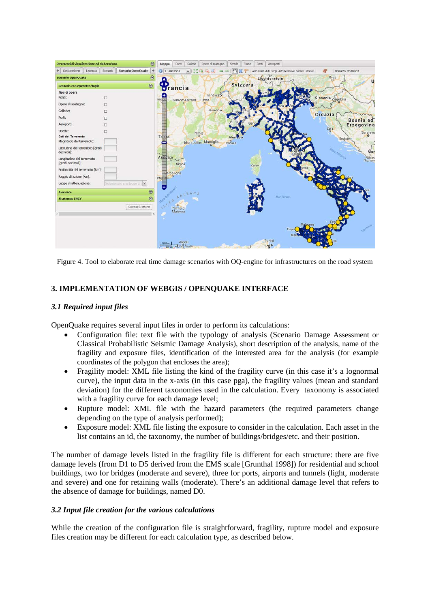| Strumenti di visualizzazione ed elaborazione   |          |                            | $\odot$        | Mappa                  | Ponti.           | Gallerie         | Opere di sostegno     | Strade           | Frane    | Porti  | Aeroporti                                     |               |         |         |                   |                   |            |
|------------------------------------------------|----------|----------------------------|----------------|------------------------|------------------|------------------|-----------------------|------------------|----------|--------|-----------------------------------------------|---------------|---------|---------|-------------------|-------------------|------------|
| Gestione layer Legenda                         | Scenario | Scenario OpenQuake         | 净              | 1 6933504              |                  | ×.               | Q<br>辺                | $\mathbb{R}^n$   |          |        | Add start Add stop Add/Remove barrier Risolvi |               |         |         |                   | 0.96936, 38.09211 |            |
| <b>Scenario OpenQuake</b>                      |          |                            | $\circledcirc$ |                        |                  |                  |                       |                  |          |        | Liechtenstein                                 |               |         |         | Graz<br>$\circ$   |                   |            |
| Scenario con epicentro/faglia                  |          |                            | $\circledcirc$ |                        | $\sqrt{r}$ ancia |                  |                       |                  | Svizzera |        |                                               |               |         |         |                   |                   |            |
| Tipo di opera                                  |          |                            |                |                        |                  |                  |                       |                  |          |        |                                               |               |         |         |                   |                   |            |
| Ponti:                                         | □        |                            |                |                        |                  | Clermont-Ferrand | Ginevrao              |                  |          |        |                                               |               |         |         | Slovenia Zagabria |                   |            |
| Opere di sostegno:                             | □        |                            |                |                        |                  |                  | Lione                 |                  |          |        |                                               |               |         |         |                   |                   |            |
| Gallerie:                                      | п        |                            |                |                        |                  |                  | Grenoble              |                  |          |        |                                               |               |         |         |                   |                   |            |
| Porti:                                         | п        |                            |                |                        |                  |                  |                       |                  |          |        |                                               |               |         | Croazia |                   |                   | Bosnia ed  |
| Aeroporti:                                     |          |                            |                |                        |                  |                  |                       |                  |          |        |                                               |               |         |         |                   |                   | Erzegovina |
| Strade:                                        | □        |                            |                |                        |                  |                  | Nimes                 |                  |          |        |                                               |               |         |         | Zara              |                   | Sarajevo   |
| Dati del Terremoto<br>Magnitudo del terremoto: |          |                            |                | Tolos                  |                  | $\circ$          | Montpellier Marsiglia | Montro<br>Cannes |          |        |                                               |               |         |         |                   | Spalato           |            |
| Latitudine del terremoto [gradi<br>decimali]:  |          |                            |                |                        |                  |                  |                       |                  |          |        |                                               |               |         |         | re Adrialico      |                   | Mor        |
| Longitudine del terremoto<br>[gradi decimali]: |          |                            |                | Andorra                | Girona           |                  |                       |                  |          | Corse. |                                               |               |         |         |                   |                   | Podgeri    |
| Profondità del terremoto [km]:                 |          |                            |                |                        | Barcellona       |                  |                       |                  |          |        |                                               |               |         |         |                   |                   |            |
| Raggio di azione [km]:                         |          |                            |                | <i><b>prragona</b></i> | $\circ$          |                  |                       |                  |          |        |                                               |               |         |         |                   |                   |            |
| Legge di attenuazione:                         |          | Selezionare una legge di i |                |                        |                  |                  |                       |                  |          |        |                                               |               |         |         |                   |                   |            |
| <b>Avanzate</b>                                |          |                            | $\circledcirc$ |                        |                  | BALEA            |                       |                  |          |        |                                               |               |         |         |                   |                   |            |
| <b>Shakemap INGV</b>                           |          |                            | $\Theta$       |                        |                  |                  |                       |                  |          |        | Mar Tirreno                                   |               |         |         |                   |                   |            |
|                                                |          | Calcola Scenario           |                | ILLES                  | Palma di         |                  |                       |                  |          |        |                                               |               |         |         |                   |                   |            |
| $\epsilon$                                     |          |                            | $\rightarrow$  |                        | Maiorca          |                  |                       |                  |          |        |                                               |               |         |         |                   |                   |            |
|                                                |          |                            |                |                        |                  |                  |                       |                  |          |        |                                               |               | Palegmo |         |                   |                   |            |
|                                                |          |                            |                |                        |                  |                  |                       |                  |          |        |                                               | Trapat<br>Mar |         |         |                   |                   |            |
|                                                |          |                            |                | 100 km                 | Algeri           | مدينة الح        |                       |                  |          |        | Tunisi<br>تونس                                |               |         |         |                   |                   |            |

Figure 4. Tool to elaborate real time damage scenarios with OQ-engine for infrastructures on the road system

# **3. IMPLEMENTATION OF WEBGIS / OPENQUAKE INTERFACE**

# *3.1 Required input files*

OpenQuake requires several input files in order to perform its calculations:

- Configuration file: text file with the typology of analysis (Scenario Damage Assessment or Classical Probabilistic Seismic Damage Analysis), short description of the analysis, name of the fragility and exposure files, identification of the interested area for the analysis (for example coordinates of the polygon that encloses the area);
- Fragility model: XML file listing the kind of the fragility curve (in this case it's a lognormal curve), the input data in the x-axis (in this case pga), the fragility values (mean and standard deviation) for the different taxonomies used in the calculation. Every taxonomy is associated with a fragility curve for each damage level;
- Rupture model: XML file with the hazard parameters (the required parameters change depending on the type of analysis performed);
- Exposure model: XML file listing the exposure to consider in the calculation. Each asset in the list contains an id, the taxonomy, the number of buildings/bridges/etc. and their position.

The number of damage levels listed in the fragility file is different for each structure: there are five damage levels (from D1 to D5 derived from the EMS scale [Grunthal 1998]) for residential and school buildings, two for bridges (moderate and severe), three for ports, airports and tunnels (light, moderate and severe) and one for retaining walls (moderate). There's an additional damage level that refers to the absence of damage for buildings, named D0.

## *3.2 Input file creation for the various calculations*

While the creation of the configuration file is straightforward, fragility, rupture model and exposure files creation may be different for each calculation type, as described below.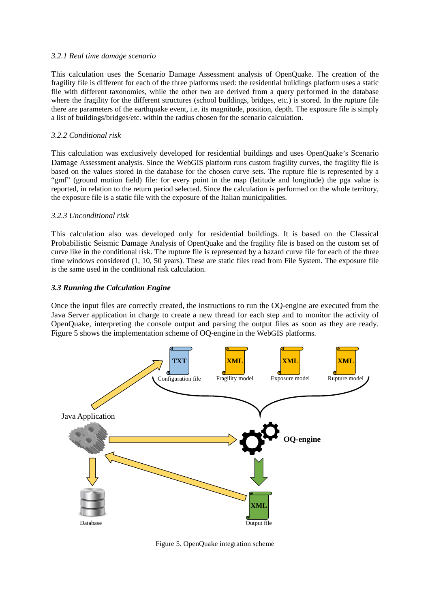#### *3.2.1 Real time damage scenario*

This calculation uses the Scenario Damage Assessment analysis of OpenQuake. The creation of the fragility file is different for each of the three platforms used: the residential buildings platform uses a static file with different taxonomies, while the other two are derived from a query performed in the database where the fragility for the different structures (school buildings, bridges, etc.) is stored. In the rupture file there are parameters of the earthquake event, i.e. its magnitude, position, depth. The exposure file is simply a list of buildings/bridges/etc. within the radius chosen for the scenario calculation.

#### *3.2.2 Conditional risk*

This calculation was exclusively developed for residential buildings and uses OpenQuake's Scenario Damage Assessment analysis. Since the WebGIS platform runs custom fragility curves, the fragility file is based on the values stored in the database for the chosen curve sets. The rupture file is represented by a "gmf" (ground motion field) file: for every point in the map (latitude and longitude) the pga value is reported, in relation to the return period selected. Since the calculation is performed on the whole territory, the exposure file is a static file with the exposure of the Italian municipalities.

## *3.2.3 Unconditional risk*

This calculation also was developed only for residential buildings. It is based on the Classical Probabilistic Seismic Damage Analysis of OpenQuake and the fragility file is based on the custom set of curve like in the conditional risk. The rupture file is represented by a hazard curve file for each of the three time windows considered (1, 10, 50 years). These are static files read from File System. The exposure file is the same used in the conditional risk calculation.

#### *3.3 Running the Calculation Engine*

Once the input files are correctly created, the instructions to run the OQ-engine are executed from the Java Server application in charge to create a new thread for each step and to monitor the activity of OpenQuake, interpreting the console output and parsing the output files as soon as they are ready. Figure 5 shows the implementation scheme of OQ-engine in the WebGIS platforms.



Figure 5. OpenQuake integration scheme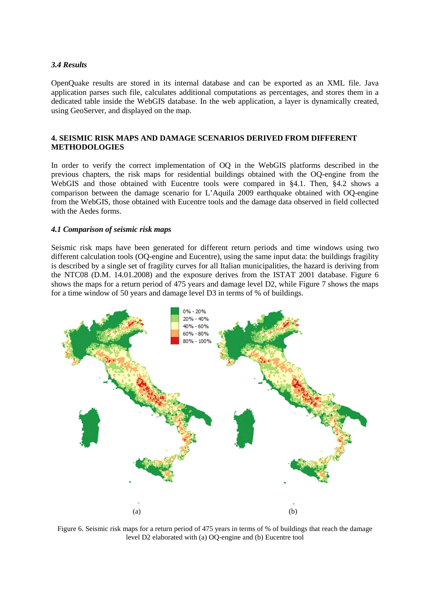# *3.4 Results*

OpenQuake results are stored in its internal database and can be exported as an XML file. Java application parses such file, calculates additional computations as percentages, and stores them in a dedicated table inside the WebGIS database. In the web application, a layer is dynamically created, using GeoServer, and displayed on the map.

# **4. SEISMIC RISK MAPS AND DAMAGE SCENARIOS DERIVED FROM DIFFERENT METHODOLOGIES**

In order to verify the correct implementation of OQ in the WebGIS platforms described in the previous chapters, the risk maps for residential buildings obtained with the OQ-engine from the WebGIS and those obtained with Eucentre tools were compared in §4.1. Then, §4.2 shows a comparison between the damage scenario for L'Aquila 2009 earthquake obtained with OQ-engine from the WebGIS, those obtained with Eucentre tools and the damage data observed in field collected with the Aedes forms.

## *4.1 Comparison of seismic risk maps*

Seismic risk maps have been generated for different return periods and time windows using two different calculation tools (OQ-engine and Eucentre), using the same input data: the buildings fragility is described by a single set of fragility curves for all Italian municipalities, the hazard is deriving from the NTC08 (D.M. 14.01.2008) and the exposure derives from the ISTAT 2001 database. Figure 6 shows the maps for a return period of 475 years and damage level D2, while Figure 7 shows the maps for a time window of 50 years and damage level D3 in terms of % of buildings.



Figure 6. Seismic risk maps for a return period of 475 years in terms of % of buildings that reach the damage level D2 elaborated with (a) OQ-engine and (b) Eucentre tool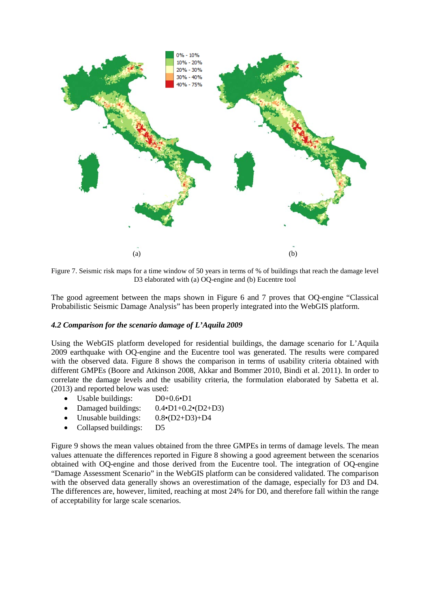

Figure 7. Seismic risk maps for a time window of 50 years in terms of % of buildings that reach the damage level D3 elaborated with (a) OQ-engine and (b) Eucentre tool

The good agreement between the maps shown in Figure 6 and 7 proves that OQ-engine "Classical Probabilistic Seismic Damage Analysis" has been properly integrated into the WebGIS platform.

#### *4.2 Comparison for the scenario damage of L'Aquila 2009*

Using the WebGIS platform developed for residential buildings, the damage scenario for L'Aquila 2009 earthquake with OQ-engine and the Eucentre tool was generated. The results were compared with the observed data. Figure 8 shows the comparison in terms of usability criteria obtained with different GMPEs (Boore and Atkinson 2008, Akkar and Bommer 2010, Bindi et al. 2011). In order to correlate the damage levels and the usability criteria, the formulation elaborated by Sabetta et al. (2013) and reported below was used:

- Usable buildings: D0+0.6•D1
- Damaged buildings:  $0.4 \cdot D1 + 0.2 \cdot (D2 + D3)$
- Unusable buildings:  $0.8 \cdot (D2 + D3) + D4$
- Collapsed buildings: D5

Figure 9 shows the mean values obtained from the three GMPEs in terms of damage levels. The mean values attenuate the differences reported in Figure 8 showing a good agreement between the scenarios obtained with OQ-engine and those derived from the Eucentre tool. The integration of OQ-engine "Damage Assessment Scenario" in the WebGIS platform can be considered validated. The comparison with the observed data generally shows an overestimation of the damage, especially for D3 and D4. The differences are, however, limited, reaching at most 24% for D0, and therefore fall within the range of acceptability for large scale scenarios.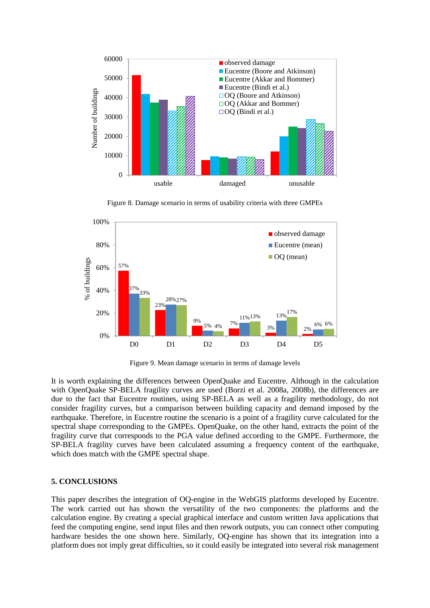

Figure 8. Damage scenario in terms of usability criteria with three GMPEs



Figure 9. Mean damage scenario in terms of damage levels

It is worth explaining the differences between OpenQuake and Eucentre. Although in the calculation with OpenQuake SP-BELA fragility curves are used (Borzi et al. 2008a, 2008b), the differences are due to the fact that Eucentre routines, using SP-BELA as well as a fragility methodology, do not consider fragility curves, but a comparison between building capacity and demand imposed by the earthquake. Therefore, in Eucentre routine the scenario is a point of a fragility curve calculated for the spectral shape corresponding to the GMPEs. OpenQuake, on the other hand, extracts the point of the fragility curve that corresponds to the PGA value defined according to the GMPE. Furthermore, the SP-BELA fragility curves have been calculated assuming a frequency content of the earthquake, which does match with the GMPE spectral shape.

# **5. CONCLUSIONS**

This paper describes the integration of OQ-engine in the WebGIS platforms developed by Eucentre. The work carried out has shown the versatility of the two components: the platforms and the calculation engine. By creating a special graphical interface and custom written Java applications that feed the computing engine, send input files and then rework outputs, you can connect other computing hardware besides the one shown here. Similarly, OQ-engine has shown that its integration into a platform does not imply great difficulties, so it could easily be integrated into several risk management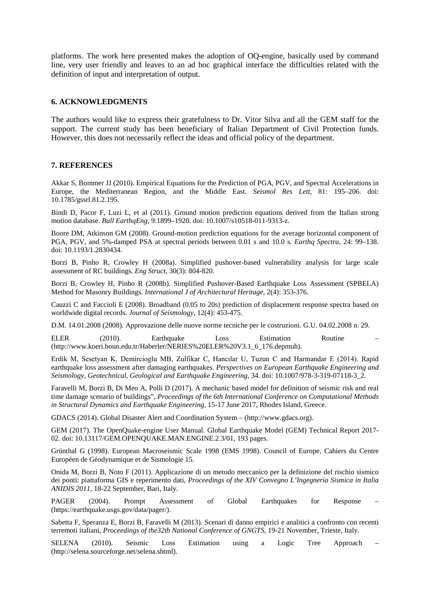platforms. The work here presented makes the adoption of OQ-engine, basically used by command line, very user friendly and leaves to an ad hoc graphical interface the difficulties related with the definition of input and interpretation of output.

#### **6. ACKNOWLEDGMENTS**

The authors would like to express their gratefulness to Dr. Vitor Silva and all the GEM staff for the support. The current study has been beneficiary of Italian Department of Civil Protection funds. However, this does not necessarily reflect the ideas and official policy of the department.

#### **7. REFERENCES**

Akkar S, Bommer JJ (2010). Empirical Equations for the Prediction of PGA, PGV, and Spectral Accelerations in Europe, the Mediterranean Region, and the Middle East. *Seismol Res Lett*, 81: 195–206. doi: 10.1785/gssrl.81.2.195.

Bindi D, Pacor F, Luzi L, et al (2011). Ground motion prediction equations derived from the Italian strong motion database. *Bull EarthqEng*, 9:1899–1920. doi: 10.1007/s10518-011-9313-z.

Boore DM, Atkinson GM (2008). Ground-motion prediction equations for the average horizontal component of PGA, PGV, and 5%-damped PSA at spectral periods between 0.01 s and 10.0 s. *Earthq Spectra*, 24: 99–138. doi: 10.1193/1.2830434.

Borzi B, Pinho R, Crowley H (2008a). Simplified pushover-based vulnerability analysis for large scale assessment of RC buildings. *Eng Struct*, 30(3): 804-820.

Borzi B, Crowley H, Pinho R (2008b). Simplified Pushover-Based Earthquake Loss Assessment (SPBELA) Method for Masonry Buildings. *International J of Architectural Heritage*, 2(4): 353-376.

Cauzzi C and Faccioli E (2008). Broadband (0.05 to 20s) prediction of displacement response spectra based on worldwide digital records. *Journal of Seismology*, 12(4): 453-475.

D.M. 14.01.2008 (2008). Approvazione delle nuove norme tecniche per le costruzioni. G.U. 04.02.2008 n. 29.

ELER (2010). Earthquake Loss Estimation Routine – (http://www.koeri.boun.edu.tr/Haberler/NERIES%20ELER%20V3.1\_6\_176.depmuh).

Erdik M, Sesetyan K, Demircioglu MB, Zulfikar C, Hancılar U, Tuzun C and Harmandar E (2014). Rapid earthquake loss assessment after damaging earthquakes. *Perspectives on European Earthquake Engineering and Seismology, Geotechnical, Geological and Earthquake Engineering*, 34. doi: 10.1007/978-3-319-07118-3\_2.

Faravelli M, Borzi B, Di Meo A, Polli D (2017). A mechanic based model for definition of seismic risk and real time damage scenario of buildings", *Proceedings of the 6th International Conference on Computational Methods in Structural Dynamics and Earthquake Engineering*, 15-17 June 2017, Rhodes Island, Greece.

GDACS (2014). Global Disaster Alert and Coordination System – (http://www.gdacs.org).

GEM (2017). The OpenQuake-engine User Manual. Global Earthquake Model (GEM) Technical Report 2017- 02. doi: 10.13117/GEM.OPENQUAKE.MAN.ENGINE.2.3/01, 193 pages.

Grünthal G (1998). European Macroseismic Scale 1998 (EMS 1998). Council of Europe, Cahiers du Centre Européen de Géodynamique et de Sismologie 15.

Onida M, Borzi B, Noto F (2011). Applicazione di un metodo meccanico per la definizione del rischio sismico dei ponti: piattaforma GIS e reperimento dati, *Proceedings of the XIV Convegno L'Ingegneria Sismica in Italia ANIDIS 2011*, 18-22 September, Bari, Italy.

PAGER (2004). Prompt Assessment of Global Earthquakes for Response (https://earthquake.usgs.gov/data/pager/).

Sabetta F, Speranza E, Borzi B, Faravelli M (2013). Scenari di danno empirici e analitici a confronto con recenti terremoti italiani, *Proceedings of the32th National Conference of GNGTS*, 19-21 November, Trieste, Italy.

SELENA (2010). Seismic Loss Estimation using a Logic Tree Approach – (http://selena.sourceforge.net/selena.shtml).